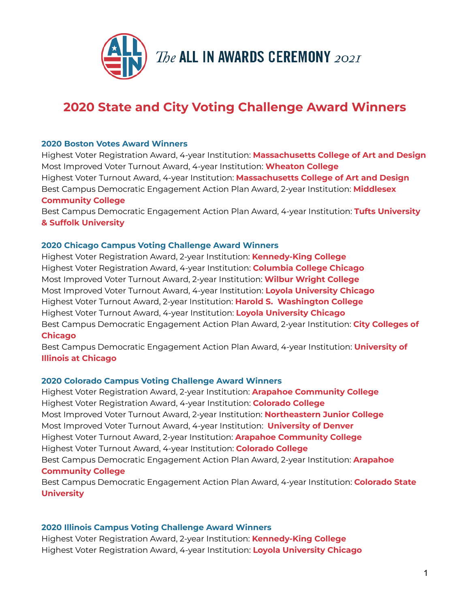

# **2020 State and City Voting Challenge Award Winners**

#### **2020 Boston Votes Award Winners**

Highest Voter Registration Award, 4-year Institution: **Massachusetts College of Art and Design** Most Improved Voter Turnout Award, 4-year Institution: **Wheaton College** Highest Voter Turnout Award, 4-year Institution: **Massachusetts College of Art and Design** Best Campus Democratic Engagement Action Plan Award, 2-year Institution: **Middlesex Community College**

Best Campus Democratic Engagement Action Plan Award, 4-year Institution: **Tufts University & Suffolk University**

#### **2020 Chicago Campus Voting Challenge Award Winners**

Highest Voter Registration Award, 2-year Institution: **Kennedy-King College** Highest Voter Registration Award, 4-year Institution: **Columbia College Chicago** Most Improved Voter Turnout Award, 2-year Institution: **Wilbur Wright College** Most Improved Voter Turnout Award, 4-year Institution: **Loyola University Chicago** Highest Voter Turnout Award, 2-year Institution: **Harold S. Washington College** Highest Voter Turnout Award, 4-year Institution: **Loyola University Chicago** Best Campus Democratic Engagement Action Plan Award, 2-year Institution: **City Colleges of Chicago**

Best Campus Democratic Engagement Action Plan Award, 4-year Institution: **University of Illinois at Chicago**

#### **2020 Colorado Campus Voting Challenge Award Winners**

Highest Voter Registration Award, 2-year Institution: **Arapahoe Community College** Highest Voter Registration Award, 4-year Institution: **Colorado College** Most Improved Voter Turnout Award, 2-year Institution: **Northeastern Junior College** Most Improved Voter Turnout Award, 4-year Institution: **University of Denver** Highest Voter Turnout Award, 2-year Institution: **Arapahoe Community College** Highest Voter Turnout Award, 4-year Institution: **Colorado College** Best Campus Democratic Engagement Action Plan Award, 2-year Institution: **Arapahoe Community College**

Best Campus Democratic Engagement Action Plan Award, 4-year Institution: **Colorado State University**

#### **2020 Illinois Campus Voting Challenge Award Winners**

Highest Voter Registration Award, 2-year Institution: **Kennedy-King College** Highest Voter Registration Award, 4-year Institution: **Loyola University Chicago**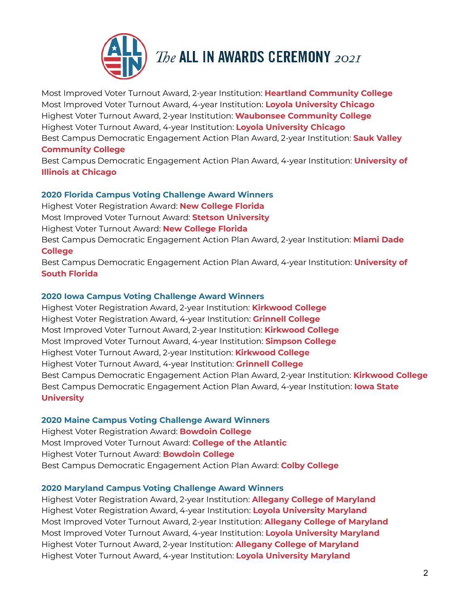

Most Improved Voter Turnout Award, 2-year Institution: **Heartland Community College** Most Improved Voter Turnout Award, 4-year Institution: **Loyola University Chicago** Highest Voter Turnout Award, 2-year Institution: **Waubonsee Community College** Highest Voter Turnout Award, 4-year Institution: **Loyola University Chicago** Best Campus Democratic Engagement Action Plan Award, 2-year Institution: **Sauk Valley Community College**

Best Campus Democratic Engagement Action Plan Award, 4-year Institution: **University of Illinois at Chicago**

### **2020 Florida Campus Voting Challenge Award Winners**

Highest Voter Registration Award: **New College Florida** Most Improved Voter Turnout Award: **Stetson University** Highest Voter Turnout Award: **New College Florida** Best Campus Democratic Engagement Action Plan Award, 2-year Institution: **Miami Dade College** Best Campus Democratic Engagement Action Plan Award, 4-year Institution: **University of South Florida**

# **2020 Iowa Campus Voting Challenge Award Winners**

Highest Voter Registration Award, 2-year Institution: **Kirkwood College** Highest Voter Registration Award, 4-year Institution: **Grinnell College** Most Improved Voter Turnout Award, 2-year Institution: **Kirkwood College** Most Improved Voter Turnout Award, 4-year Institution: **Simpson College** Highest Voter Turnout Award, 2-year Institution: **Kirkwood College** Highest Voter Turnout Award, 4-year Institution: **Grinnell College** Best Campus Democratic Engagement Action Plan Award, 2-year Institution: **Kirkwood College** Best Campus Democratic Engagement Action Plan Award, 4-year Institution: **Iowa State University**

# **2020 Maine Campus Voting Challenge Award Winners**

Highest Voter Registration Award: **Bowdoin College** Most Improved Voter Turnout Award: **College of the Atlantic** Highest Voter Turnout Award: **Bowdoin College** Best Campus Democratic Engagement Action Plan Award: **Colby College**

#### **2020 Maryland Campus Voting Challenge Award Winners**

Highest Voter Registration Award, 2-year Institution: **Allegany College of Maryland** Highest Voter Registration Award, 4-year Institution: **Loyola University Maryland** Most Improved Voter Turnout Award, 2-year Institution: **Allegany College of Maryland** Most Improved Voter Turnout Award, 4-year Institution: **Loyola University Maryland** Highest Voter Turnout Award, 2-year Institution: **Allegany College of Maryland** Highest Voter Turnout Award, 4-year Institution: **Loyola University Maryland**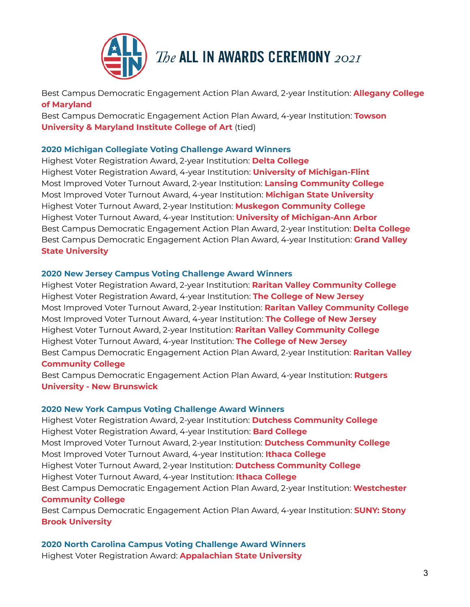

# The ALL IN AWARDS CEREMONY 2021

Best Campus Democratic Engagement Action Plan Award, 2-year Institution: **Allegany College of Maryland**

Best Campus Democratic Engagement Action Plan Award, 4-year Institution: **Towson University & Maryland Institute College of Art** (tied)

### **2020 Michigan Collegiate Voting Challenge Award Winners**

Highest Voter Registration Award, 2-year Institution: **Delta College** Highest Voter Registration Award, 4-year Institution: **University of Michigan-Flint** Most Improved Voter Turnout Award, 2-year Institution: **Lansing Community College** Most Improved Voter Turnout Award, 4-year Institution: **Michigan State University** Highest Voter Turnout Award, 2-year Institution: **Muskegon Community College** Highest Voter Turnout Award, 4-year Institution: **University of Michigan-Ann Arbor** Best Campus Democratic Engagement Action Plan Award, 2-year Institution: **Delta College** Best Campus Democratic Engagement Action Plan Award, 4-year Institution: **Grand Valley State University**

#### **2020 New Jersey Campus Voting Challenge Award Winners**

Highest Voter Registration Award, 2-year Institution: **Raritan Valley Community College** Highest Voter Registration Award, 4-year Institution: **The College of New Jersey** Most Improved Voter Turnout Award, 2-year Institution: **Raritan Valley Community College** Most Improved Voter Turnout Award, 4-year Institution: **The College of New Jersey** Highest Voter Turnout Award, 2-year Institution: **Raritan Valley Community College** Highest Voter Turnout Award, 4-year Institution: **The College of New Jersey** Best Campus Democratic Engagement Action Plan Award, 2-year Institution: **Raritan Valley Community College**

Best Campus Democratic Engagement Action Plan Award, 4-year Institution: **Rutgers University - New Brunswick**

#### **2020 New York Campus Voting Challenge Award Winners**

Highest Voter Registration Award, 2-year Institution: **Dutchess Community College** Highest Voter Registration Award, 4-year Institution: **Bard College** Most Improved Voter Turnout Award, 2-year Institution: **Dutchess Community College** Most Improved Voter Turnout Award, 4-year Institution: **Ithaca College** Highest Voter Turnout Award, 2-year Institution: **Dutchess Community College** Highest Voter Turnout Award, 4-year Institution: **Ithaca College** Best Campus Democratic Engagement Action Plan Award, 2-year Institution: **Westchester Community College** Best Campus Democratic Engagement Action Plan Award, 4-year Institution: **SUNY: Stony**

**Brook University**

**2020 North Carolina Campus Voting Challenge Award Winners** Highest Voter Registration Award: **Appalachian State University**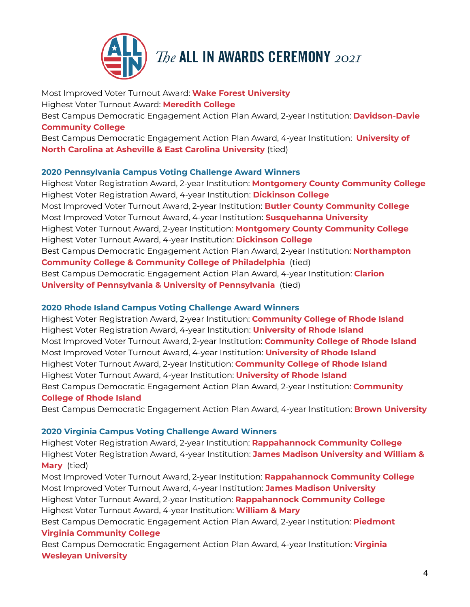

# The ALL IN AWARDS CEREMONY 2021

Most Improved Voter Turnout Award: **Wake Forest University** Highest Voter Turnout Award: **Meredith College** Best Campus Democratic Engagement Action Plan Award, 2-year Institution: **Davidson-Davie Community College** Best Campus Democratic Engagement Action Plan Award, 4-year Institution: **University of North Carolina at Asheville & East Carolina University** (tied) **2020 Pennsylvania Campus Voting Challenge Award Winners** Highest Voter Registration Award, 2-year Institution: **Montgomery County Community College**

Highest Voter Registration Award, 4-year Institution: **Dickinson College** Most Improved Voter Turnout Award, 2-year Institution: **Butler County Community College** Most Improved Voter Turnout Award, 4-year Institution: **Susquehanna University** Highest Voter Turnout Award, 2-year Institution: **Montgomery County Community College** Highest Voter Turnout Award, 4-year Institution: **Dickinson College** Best Campus Democratic Engagement Action Plan Award, 2-year Institution: **Northampton Community College & Community College of Philadelphia** (tied) Best Campus Democratic Engagement Action Plan Award, 4-year Institution: **Clarion University of Pennsylvania & University of Pennsylvania** (tied)

### **2020 Rhode Island Campus Voting Challenge Award Winners**

Highest Voter Registration Award, 2-year Institution: **Community College of Rhode Island** Highest Voter Registration Award, 4-year Institution: **University of Rhode Island** Most Improved Voter Turnout Award, 2-year Institution: **Community College of Rhode Island** Most Improved Voter Turnout Award, 4-year Institution: **University of Rhode Island** Highest Voter Turnout Award, 2-year Institution: **Community College of Rhode Island** Highest Voter Turnout Award, 4-year Institution: **University of Rhode Island** Best Campus Democratic Engagement Action Plan Award, 2-year Institution: **Community College of Rhode Island**

Best Campus Democratic Engagement Action Plan Award, 4-year Institution: **Brown University**

#### **2020 Virginia Campus Voting Challenge Award Winners**

Highest Voter Registration Award, 2-year Institution: **Rappahannock Community College** Highest Voter Registration Award, 4-year Institution: **James Madison University and William & Mary** (tied)

Most Improved Voter Turnout Award, 2-year Institution: **Rappahannock Community College** Most Improved Voter Turnout Award, 4-year Institution: **James Madison University** Highest Voter Turnout Award, 2-year Institution: **Rappahannock Community College** Highest Voter Turnout Award, 4-year Institution: **William & Mary**

Best Campus Democratic Engagement Action Plan Award, 2-year Institution: **Piedmont Virginia Community College**

Best Campus Democratic Engagement Action Plan Award, 4-year Institution: **Virginia Wesleyan University**